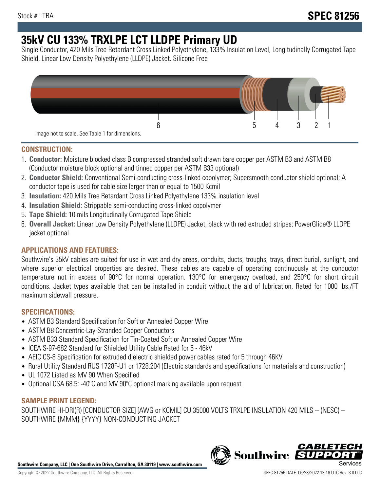# **35kV CU 133% TRXLPE LCT LLDPE Primary UD**

Single Conductor, 420 Mils Tree Retardant Cross Linked Polyethylene, 133% Insulation Level, Longitudinally Corrugated Tape Shield, Linear Low Density Polyethylene (LLDPE) Jacket. Silicone Free



## **CONSTRUCTION:**

- 1. **Conductor:** Moisture blocked class B compressed stranded soft drawn bare copper per ASTM B3 and ASTM B8 (Conductor moisture block optional and tinned copper per ASTM B33 optional)
- 2. **Conductor Shield:** Conventional Semi-conducting cross-linked copolymer; Supersmooth conductor shield optional; A conductor tape is used for cable size larger than or equal to 1500 Kcmil
- 3. **Insulation:** 420 Mils Tree Retardant Cross Linked Polyethylene 133% insulation level
- 4. **Insulation Shield:** Strippable semi-conducting cross-linked copolymer
- 5. **Tape Shield:** 10 mils Longitudinally Corrugated Tape Shield
- 6. **Overall Jacket:** Linear Low Density Polyethylene (LLDPE) Jacket, black with red extruded stripes; PowerGlide® LLDPE jacket optional

# **APPLICATIONS AND FEATURES:**

Southwire's 35kV cables are suited for use in wet and dry areas, conduits, ducts, troughs, trays, direct burial, sunlight, and where superior electrical properties are desired. These cables are capable of operating continuously at the conductor temperature not in excess of 90°C for normal operation. 130°C for emergency overload, and 250°C for short circuit conditions. Jacket types available that can be installed in conduit without the aid of lubrication. Rated for 1000 lbs./FT maximum sidewall pressure.

# **SPECIFICATIONS:**

- ASTM B3 Standard Specification for Soft or Annealed Copper Wire
- ASTM B8 Concentric-Lay-Stranded Copper Conductors
- ASTM B33 Standard Specification for Tin-Coated Soft or Annealed Copper Wire
- ICEA S-97-682 Standard for Shielded Utility Cable Rated for 5 46kV
- AEIC CS-8 Specification for extruded dielectric shielded power cables rated for 5 through 46KV
- Rural Utility Standard RUS 1728F-U1 or 1728.204 (Electric standards and specifications for materials and construction)
- UL 1072 Listed as MV 90 When Specified
- Optional CSA 68.5: -40ºC and MV 90ºC optional marking available upon request

# **SAMPLE PRINT LEGEND:**

SOUTHWIRE HI-DRI(R) [CONDUCTOR SIZE] [AWG or KCMIL] CU 35000 VOLTS TRXLPE INSULATION 420 MILS -- (NESC) -- SOUTHWIRE {MMM} {YYYY} NON-CONDUCTING JACKET

**Southwire Company, LLC | One Southwire Drive, Carrollton, GA 30119 | www.southwire.com**